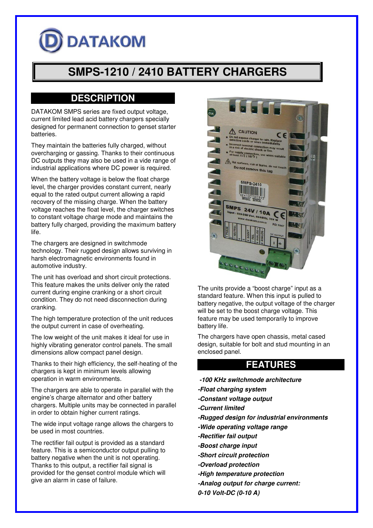# **DATAKOM**

# **SMPS-1210 / 2410 BATTERY CHARGERS**

## **DESCRIPTION**

DATAKOM SMPS series are fixed output voltage, current limited lead acid battery chargers specially designed for permanent connection to genset starter batteries.

They maintain the batteries fully charged, without overcharging or gassing. Thanks to their continuous DC outputs they may also be used in a vide range of industrial applications where DC power is required.

When the battery voltage is below the float charge level, the charger provides constant current, nearly equal to the rated output current allowing a rapid recovery of the missing charge. When the battery voltage reaches the float level, the charger switches to constant voltage charge mode and maintains the battery fully charged, providing the maximum battery life.

The chargers are designed in switchmode technology. Their rugged design allows surviving in harsh electromagnetic environments found in automotive industry.

The unit has overload and short circuit protections. This feature makes the units deliver only the rated current during engine cranking or a short circuit condition. They do not need disconnection during cranking.

The high temperature protection of the unit reduces the output current in case of overheating.

The low weight of the unit makes it ideal for use in highly vibrating generator control panels. The small dimensions allow compact panel design.

Thanks to their high efficiency, the self-heating of the chargers is kept in minimum levels allowing operation in warm environments.

The chargers are able to operate in parallel with the engine's charge alternator and other battery chargers. Multiple units may be connected in parallel in order to obtain higher current ratings.

The wide input voltage range allows the chargers to be used in most countries.

The rectifier fail output is provided as a standard feature. This is a semiconductor output pulling to battery negative when the unit is not operating. Thanks to this output, a rectifier fail signal is provided for the genset control module which will give an alarm in case of failure.



The units provide a "boost charge" input as a standard feature. When this input is pulled to battery negative, the output voltage of the charger will be set to the boost charge voltage. This feature may be used temporarily to improve battery life.

The chargers have open chassis, metal cased design, suitable for bolt and stud mounting in an enclosed panel.

#### **FEATURES**

- **-100 KHz switchmode architecture**
- **-Float charging system**
- **-Constant voltage output**
- **-Current limited**
- **-Rugged design for industrial environments**
- **-Wide operating voltage range**
- **-Rectifier fail output**
- **-Boost charge input**
- **-Short circuit protection**
- **-Overload protection**
- **-High temperature protection**
- **-Analog output for charge current:**
- **0-10 Volt-DC (0-10 A)**